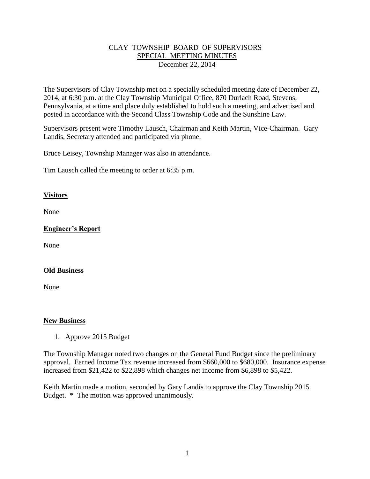#### CLAY TOWNSHIP BOARD OF SUPERVISORS SPECIAL MEETING MINUTES December 22, 2014

The Supervisors of Clay Township met on a specially scheduled meeting date of December 22, 2014, at 6:30 p.m. at the Clay Township Municipal Office, 870 Durlach Road, Stevens, Pennsylvania, at a time and place duly established to hold such a meeting, and advertised and posted in accordance with the Second Class Township Code and the Sunshine Law.

Supervisors present were Timothy Lausch, Chairman and Keith Martin, Vice-Chairman. Gary Landis, Secretary attended and participated via phone.

Bruce Leisey, Township Manager was also in attendance.

Tim Lausch called the meeting to order at 6:35 p.m.

#### **Visitors**

None

# **Engineer's Report**

None

## **Old Business**

None

#### **New Business**

1. Approve 2015 Budget

The Township Manager noted two changes on the General Fund Budget since the preliminary approval. Earned Income Tax revenue increased from \$660,000 to \$680,000. Insurance expense increased from \$21,422 to \$22,898 which changes net income from \$6,898 to \$5,422.

Keith Martin made a motion, seconded by Gary Landis to approve the Clay Township 2015 Budget. \* The motion was approved unanimously.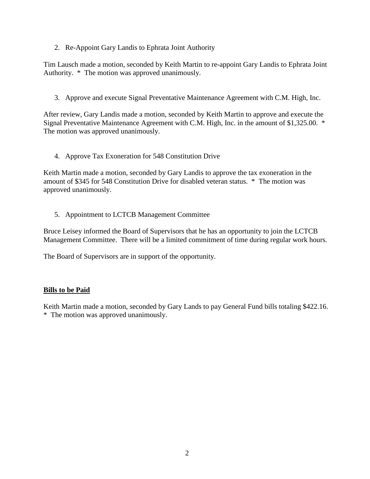2. Re-Appoint Gary Landis to Ephrata Joint Authority

Tim Lausch made a motion, seconded by Keith Martin to re-appoint Gary Landis to Ephrata Joint Authority. \* The motion was approved unanimously.

3. Approve and execute Signal Preventative Maintenance Agreement with C.M. High, Inc.

After review, Gary Landis made a motion, seconded by Keith Martin to approve and execute the Signal Preventative Maintenance Agreement with C.M. High, Inc. in the amount of \$1,325.00. \* The motion was approved unanimously.

4. Approve Tax Exoneration for 548 Constitution Drive

Keith Martin made a motion, seconded by Gary Landis to approve the tax exoneration in the amount of \$345 for 548 Constitution Drive for disabled veteran status. \* The motion was approved unanimously.

5. Appointment to LCTCB Management Committee

Bruce Leisey informed the Board of Supervisors that he has an opportunity to join the LCTCB Management Committee. There will be a limited commitment of time during regular work hours.

The Board of Supervisors are in support of the opportunity.

## **Bills to be Paid**

Keith Martin made a motion, seconded by Gary Lands to pay General Fund bills totaling \$422.16. \* The motion was approved unanimously.